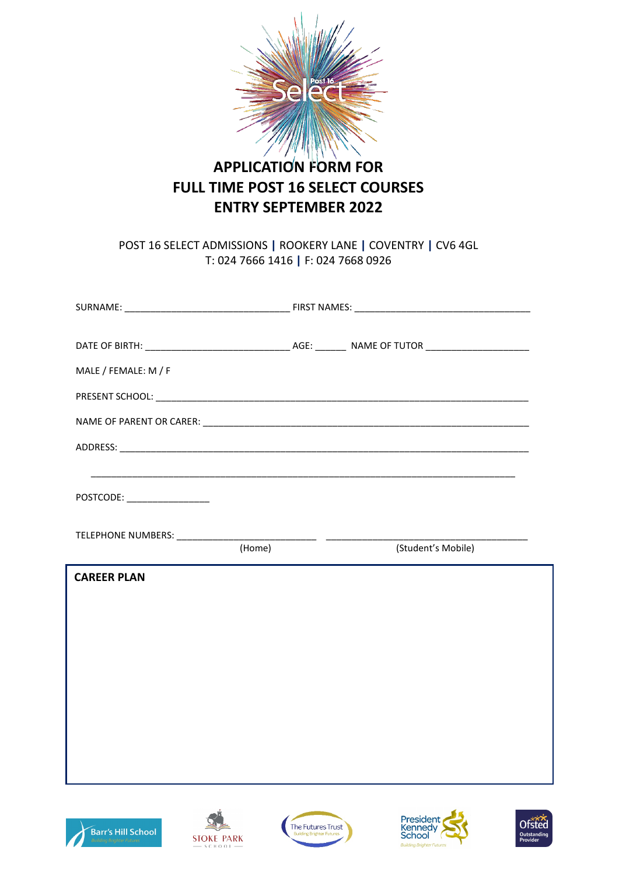

# **APPLICATION FORM FOR FULL TIME POST 16 SELECT COURSES ENTRY SEPTEMBER 2022**

POST 16 SELECT ADMISSIONS **|** ROOKERY LANE **|** COVENTRY **|** CV6 4GL T: 024 7666 1416 **|** F: 024 7668 0926

| MALE / FEMALE: M / F       |        |  |                    |
|----------------------------|--------|--|--------------------|
|                            |        |  |                    |
|                            |        |  |                    |
|                            |        |  |                    |
|                            |        |  |                    |
| POSTCODE: ________________ |        |  |                    |
|                            |        |  |                    |
|                            | (Home) |  | (Student's Mobile) |
| <b>CAREER PLAN</b>         |        |  |                    |
|                            |        |  |                    |
|                            |        |  |                    |
|                            |        |  |                    |
|                            |        |  |                    |
|                            |        |  |                    |
|                            |        |  |                    |
|                            |        |  |                    |
|                            |        |  |                    |